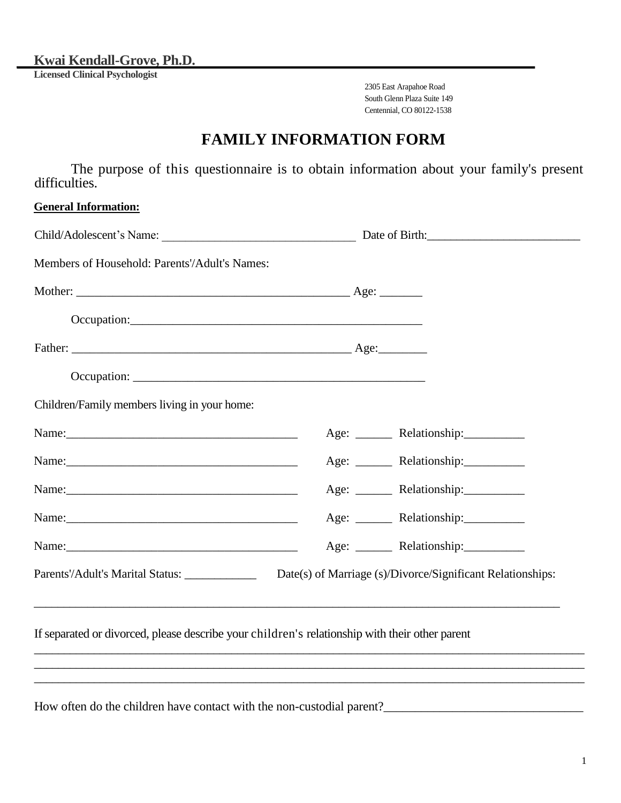**Kwai Kendall-Grove, Ph.D.**

**Licensed Clinical Psychologist**

2305 East Arapahoe Road South Glenn Plaza Suite 149 Centennial, CO 80122-1538

## **FAMILY INFORMATION FORM**

The purpose of this questionnaire is to obtain information about your family's present difficulties.

### **General Information:**

| Members of Household: Parents'/Adult's Names:                                                  |                                                                                                              |
|------------------------------------------------------------------------------------------------|--------------------------------------------------------------------------------------------------------------|
|                                                                                                |                                                                                                              |
|                                                                                                |                                                                                                              |
|                                                                                                |                                                                                                              |
|                                                                                                |                                                                                                              |
| Children/Family members living in your home:                                                   |                                                                                                              |
|                                                                                                | Age: _________ Relationship: ______________                                                                  |
|                                                                                                | Age: ________ Relationship:____________                                                                      |
|                                                                                                | Age: _______ Relationship:_________                                                                          |
|                                                                                                | Age: ________ Relationship:____________                                                                      |
|                                                                                                | Age: _________ Relationship:______________                                                                   |
|                                                                                                | Parents'/Adult's Marital Status: ________________ Date(s) of Marriage (s)/Divorce/Significant Relationships: |
| If separated or divorced, please describe your children's relationship with their other parent | ,我们也不会有什么。""我们的人,我们也不会有什么?""我们的人,我们也不会有什么?""我们的人,我们也不会有什么?""我们的人,我们也不会有什么?""我们的人                             |
| How often do the children have contact with the non-custodial parent?                          |                                                                                                              |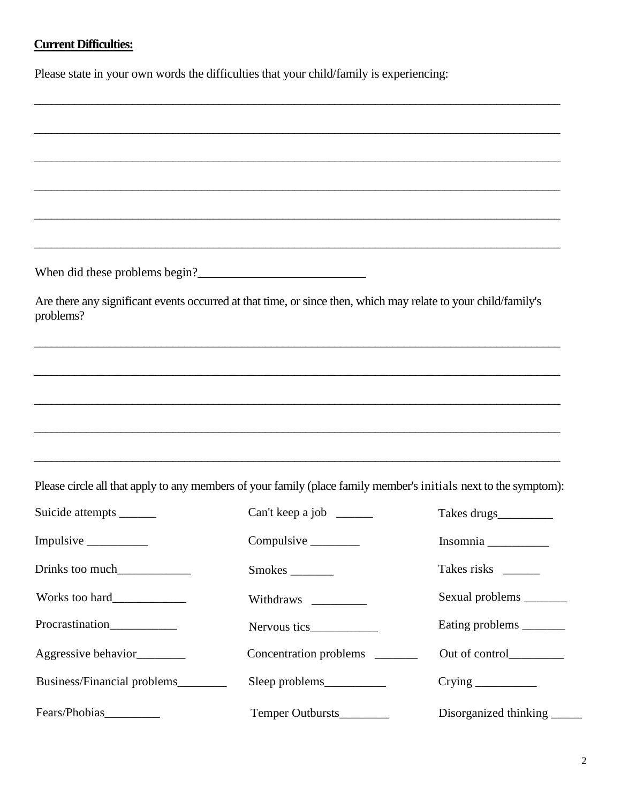### **Current Difficulties:**

Please state in your own words the difficulties that your child/family is experiencing:

When did these problems begin?\_\_\_\_\_\_\_\_\_\_\_\_\_\_\_\_\_\_\_\_\_\_\_\_\_\_\_

Are there any significant events occurred at that time, or since then, which may relate to your child/family's problems?

\_\_\_\_\_\_\_\_\_\_\_\_\_\_\_\_\_\_\_\_\_\_\_\_\_\_\_\_\_\_\_\_\_\_\_\_\_\_\_\_\_\_\_\_\_\_\_\_\_\_\_\_\_\_\_\_\_\_\_\_\_\_\_\_\_\_\_\_\_\_\_\_\_\_\_\_\_\_\_\_\_\_\_\_\_\_\_\_\_\_\_

\_\_\_\_\_\_\_\_\_\_\_\_\_\_\_\_\_\_\_\_\_\_\_\_\_\_\_\_\_\_\_\_\_\_\_\_\_\_\_\_\_\_\_\_\_\_\_\_\_\_\_\_\_\_\_\_\_\_\_\_\_\_\_\_\_\_\_\_\_\_\_\_\_\_\_\_\_\_\_\_\_\_\_\_\_\_\_\_\_\_\_

\_\_\_\_\_\_\_\_\_\_\_\_\_\_\_\_\_\_\_\_\_\_\_\_\_\_\_\_\_\_\_\_\_\_\_\_\_\_\_\_\_\_\_\_\_\_\_\_\_\_\_\_\_\_\_\_\_\_\_\_\_\_\_\_\_\_\_\_\_\_\_\_\_\_\_\_\_\_\_\_\_\_\_\_\_\_\_\_\_\_\_

\_\_\_\_\_\_\_\_\_\_\_\_\_\_\_\_\_\_\_\_\_\_\_\_\_\_\_\_\_\_\_\_\_\_\_\_\_\_\_\_\_\_\_\_\_\_\_\_\_\_\_\_\_\_\_\_\_\_\_\_\_\_\_\_\_\_\_\_\_\_\_\_\_\_\_\_\_\_\_\_\_\_\_\_\_\_\_\_\_\_\_

\_\_\_\_\_\_\_\_\_\_\_\_\_\_\_\_\_\_\_\_\_\_\_\_\_\_\_\_\_\_\_\_\_\_\_\_\_\_\_\_\_\_\_\_\_\_\_\_\_\_\_\_\_\_\_\_\_\_\_\_\_\_\_\_\_\_\_\_\_\_\_\_\_\_\_\_\_\_\_\_\_\_\_\_\_\_\_\_\_\_\_

\_\_\_\_\_\_\_\_\_\_\_\_\_\_\_\_\_\_\_\_\_\_\_\_\_\_\_\_\_\_\_\_\_\_\_\_\_\_\_\_\_\_\_\_\_\_\_\_\_\_\_\_\_\_\_\_\_\_\_\_\_\_\_\_\_\_\_\_\_\_\_\_\_\_\_\_\_\_\_\_\_\_\_\_\_\_\_\_\_\_\_

\_\_\_\_\_\_\_\_\_\_\_\_\_\_\_\_\_\_\_\_\_\_\_\_\_\_\_\_\_\_\_\_\_\_\_\_\_\_\_\_\_\_\_\_\_\_\_\_\_\_\_\_\_\_\_\_\_\_\_\_\_\_\_\_\_\_\_\_\_\_\_\_\_\_\_\_\_\_\_\_\_\_\_\_\_\_\_\_\_\_\_

\_\_\_\_\_\_\_\_\_\_\_\_\_\_\_\_\_\_\_\_\_\_\_\_\_\_\_\_\_\_\_\_\_\_\_\_\_\_\_\_\_\_\_\_\_\_\_\_\_\_\_\_\_\_\_\_\_\_\_\_\_\_\_\_\_\_\_\_\_\_\_\_\_\_\_\_\_\_\_\_\_\_\_\_\_\_\_\_\_\_\_

\_\_\_\_\_\_\_\_\_\_\_\_\_\_\_\_\_\_\_\_\_\_\_\_\_\_\_\_\_\_\_\_\_\_\_\_\_\_\_\_\_\_\_\_\_\_\_\_\_\_\_\_\_\_\_\_\_\_\_\_\_\_\_\_\_\_\_\_\_\_\_\_\_\_\_\_\_\_\_\_\_\_\_\_\_\_\_\_\_\_\_

Please circle all that apply to any members of your family (place family member's initials next to the symptom):

| Suicide attempts _______     | Can't keep a job $\frac{ }{ }$  | Takes drugs___________   |
|------------------------------|---------------------------------|--------------------------|
|                              |                                 |                          |
| Drinks too much              |                                 | Takes risks              |
|                              | Withdraws                       | Sexual problems ________ |
| Procrastination              |                                 | Eating problems ________ |
| Aggressive behavior_________ | Concentration problems ________ | Out of control           |
| Business/Financial problems  |                                 |                          |
| Fears/Phobias__________      | Temper Outbursts                | Disorganized thinking    |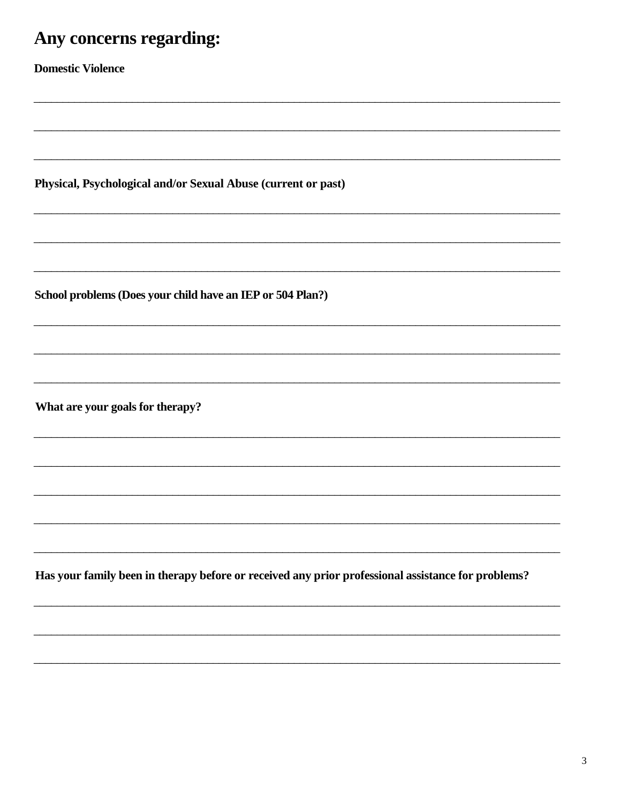# Any concerns regarding:

**Domestic Violence** 

Physical, Psychological and/or Sexual Abuse (current or past)

School problems (Does your child have an IEP or 504 Plan?)

What are your goals for therapy?

Has your family been in therapy before or received any prior professional assistance for problems?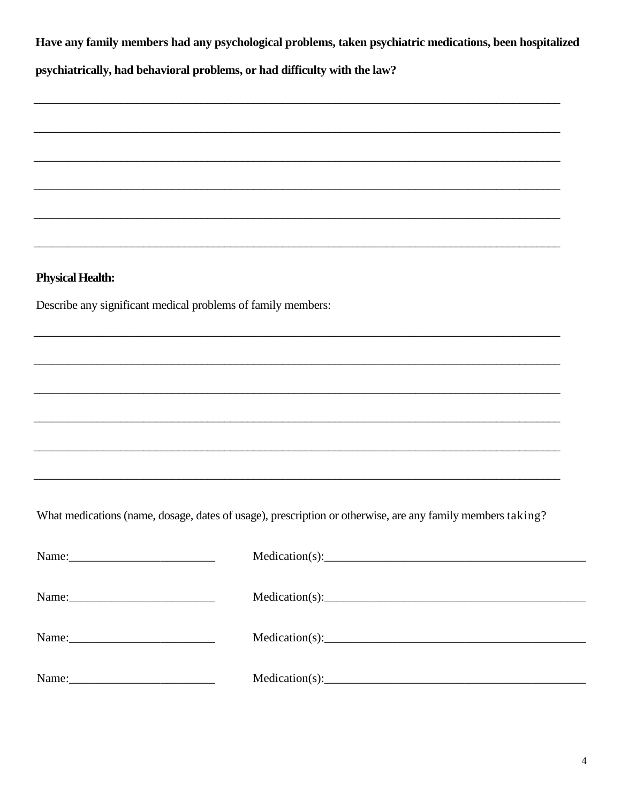Have any family members had any psychological problems, taken psychiatric medications, been hospitalized

psychiatrically, had behavioral problems, or had difficulty with the law?

### **Physical Health:**

Describe any significant medical problems of family members:

What medications (name, dosage, dates of usage), prescription or otherwise, are any family members taking?

|                           | Medication(s): |
|---------------------------|----------------|
|                           |                |
|                           | Medication(s): |
|                           |                |
| Name: $\frac{1}{2}$ Name: |                |
|                           | Medication(s): |
|                           |                |
| Name:                     |                |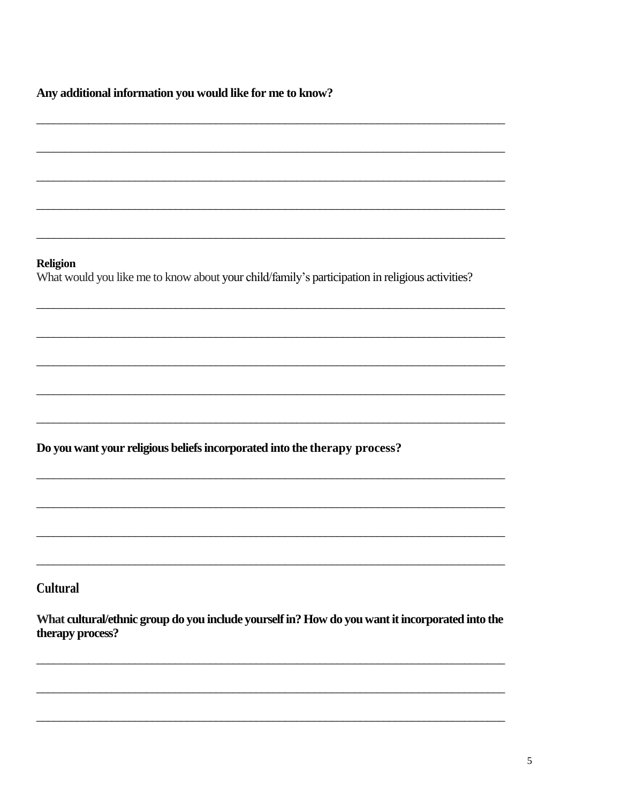Any additional information you would like for me to know?

**Religion** 

What would you like me to know about your child/family's participation in religious activities?

Do you want your religious beliefs incorporated into the therapy process?

**Cultural** 

What cultural/ethnic group do you include yourself in? How do you want it incorporated into the therapy process?